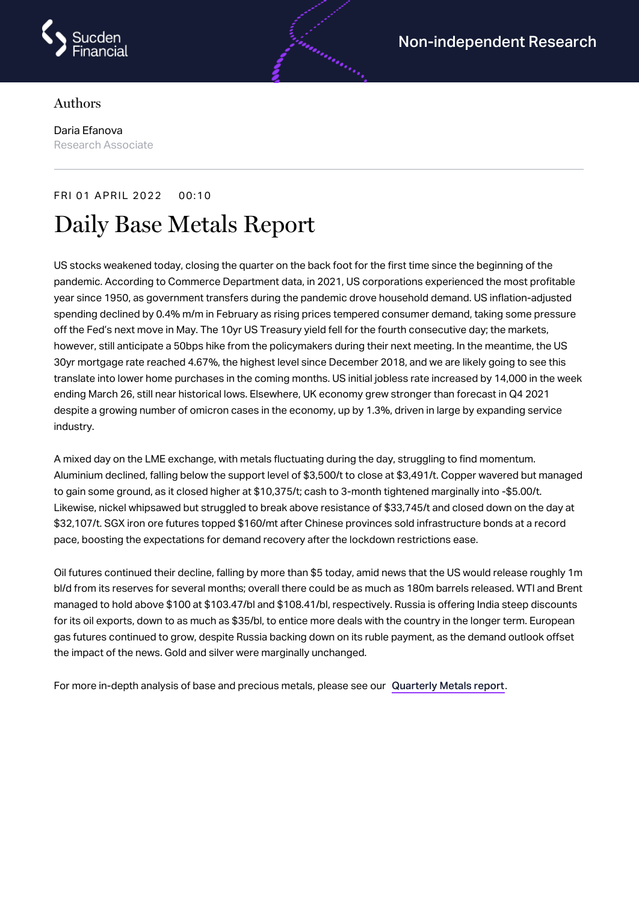

## Authors

Daria Efanova Research Associate

## FRI 01 APRIL 2022 00:10

## Daily Base Metals Report

US stocks weakened today, closing the quarter on the back foot for the first time since the beginning of the pandemic. According to Commerce Department data, in 2021, US corporations experienced the most profitable year since 1950, as government transfers during the pandemic drove household demand. US inflation-adjusted spending declined by 0.4% m/m in February as rising prices tempered consumer demand, taking some pressure off the Fed's next move in May. The 10yr US Treasury yield fell for the fourth consecutive day; the markets, however, still anticipate a 50bps hike from the policymakers during their next meeting. In the meantime, the US 30yr mortgage rate reached 4.67%, the highest level since December 2018, and we are likely going to see this translate into lower home purchases in the coming months. US initial jobless rate increased by 14,000 in the week ending March 26, still near historical lows. Elsewhere, UK economy grew stronger than forecast in Q4 2021 despite a growing number of omicron cases in the economy, up by 1.3%, driven in large by expanding service industry.

andra andra

A mixed day on the LME exchange, with metals fluctuating during the day, struggling to find momentum. Aluminium declined, falling below the support level of \$3,500/t to close at \$3,491/t. Copper wavered but managed to gain some ground, as it closed higher at \$10,375/t; cash to 3-month tightened marginally into -\$5.00/t. Likewise, nickel whipsawed but struggled to break above resistance of \$33,745/t and closed down on the day at \$32,107/t. SGX iron ore futures topped \$160/mt after Chinese provinces sold infrastructure bonds at a record pace, boosting the expectations for demand recovery after the lockdown restrictions ease.

Oil futures continued their decline, falling by more than \$5 today, amid news that the US would release roughly 1m bl/d from its reserves for several months; overall there could be as much as 180m barrels released. WTI and Brent managed to hold above \$100 at \$103.47/bl and \$108.41/bl, respectively. Russia is offering India steep discounts for its oil exports, down to as much as \$35/bl, to entice more deals with the country in the longer term. European gas futures continued to grow, despite Russia backing down on its ruble payment, as the demand outlook offset the impact of the news. Gold and silver were marginally unchanged.

For more in-depth analysis of base and precious metals, please see our [Quarterly](https://www.sucdenfinancial.com/en/reports/quarterly-metals/qmr-q1-2022/) Metals report.